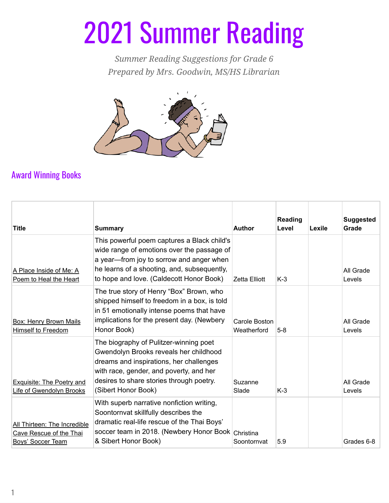## 2021 Summer Reading

*Summer Reading Suggestions for Grade 6 Prepared by Mrs. Goodwin, MS/HS Librarian*



## Award Winning Books

| <b>Title</b>                                                                        | <b>Summary</b>                                                                                                                                                                                                                            | <b>Author</b>                | Reading<br>Level | Lexile | <b>Suggested</b><br>Grade |
|-------------------------------------------------------------------------------------|-------------------------------------------------------------------------------------------------------------------------------------------------------------------------------------------------------------------------------------------|------------------------------|------------------|--------|---------------------------|
| A Place Inside of Me: A<br>Poem to Heal the Heart                                   | This powerful poem captures a Black child's<br>wide range of emotions over the passage of<br>a year-from joy to sorrow and anger when<br>he learns of a shooting, and, subsequently,<br>to hope and love. (Caldecott Honor Book)          | Zetta Elliott                | $K-3$            |        | All Grade<br>Levels       |
| <b>Box: Henry Brown Mails</b><br><b>Himself to Freedom</b>                          | The true story of Henry "Box" Brown, who<br>shipped himself to freedom in a box, is told<br>in 51 emotionally intense poems that have<br>implications for the present day. (Newbery<br>Honor Book)                                        | Carole Boston<br>Weatherford | $5-8$            |        | All Grade<br>Levels       |
| Exquisite: The Poetry and<br>Life of Gwendolyn Brooks                               | The biography of Pulitzer-winning poet<br>Gwendolyn Brooks reveals her childhood<br>dreams and inspirations, her challenges<br>with race, gender, and poverty, and her<br>desires to share stories through poetry.<br>(Sibert Honor Book) | Suzanne<br>Slade             | $K-3$            |        | All Grade<br>Levels       |
| All Thirteen: The Incredible<br>Cave Rescue of the Thai<br><b>Boys' Soccer Team</b> | With superb narrative nonfiction writing,<br>Soontornvat skillfully describes the<br>dramatic real-life rescue of the Thai Boys'<br>soccer team in 2018. (Newbery Honor Book Christina<br>& Sibert Honor Book)                            | Soontornvat                  | 5.9              |        | Grades 6-8                |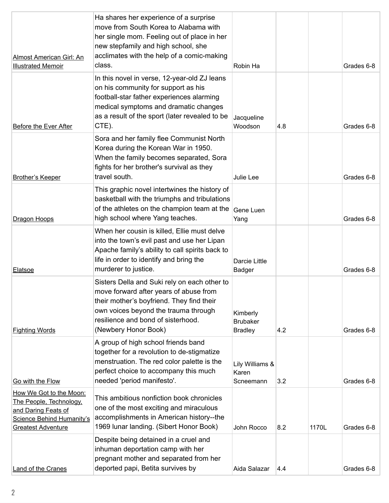| <b>Almost American Girl: An</b><br><b>Illustrated Memoir</b>                                                                               | Ha shares her experience of a surprise<br>move from South Korea to Alabama with<br>her single mom. Feeling out of place in her<br>new stepfamily and high school, she<br>acclimates with the help of a comic-making<br>class.             | Robin Ha                                      |     |       | Grades 6-8 |
|--------------------------------------------------------------------------------------------------------------------------------------------|-------------------------------------------------------------------------------------------------------------------------------------------------------------------------------------------------------------------------------------------|-----------------------------------------------|-----|-------|------------|
| <b>Before the Ever After</b>                                                                                                               | In this novel in verse, 12-year-old ZJ leans<br>on his community for support as his<br>football-star father experiences alarming<br>medical symptoms and dramatic changes<br>as a result of the sport (later revealed to be<br>CTE).      | Jacqueline<br>Woodson                         | 4.8 |       | Grades 6-8 |
| <b>Brother's Keeper</b>                                                                                                                    | Sora and her family flee Communist North<br>Korea during the Korean War in 1950.<br>When the family becomes separated, Sora<br>fights for her brother's survival as they<br>travel south.                                                 | Julie Lee                                     |     |       | Grades 6-8 |
| Dragon Hoops                                                                                                                               | This graphic novel intertwines the history of<br>basketball with the triumphs and tribulations<br>of the athletes on the champion team at the<br>high school where Yang teaches.                                                          | Gene Luen<br>Yang                             |     |       | Grades 6-8 |
| <b>Elatsoe</b>                                                                                                                             | When her cousin is killed, Ellie must delve<br>into the town's evil past and use her Lipan<br>Apache family's ability to call spirits back to<br>life in order to identify and bring the<br>murderer to justice.                          | <b>Darcie Little</b><br>Badger                |     |       | Grades 6-8 |
| <b>Fighting Words</b>                                                                                                                      | Sisters Della and Suki rely on each other to<br>move forward after years of abuse from<br>their mother's boyfriend. They find their<br>own voices beyond the trauma through<br>resilience and bond of sisterhood.<br>(Newbery Honor Book) | Kimberly<br><b>Brubaker</b><br><b>Bradley</b> | 4.2 |       | Grades 6-8 |
| Go with the Flow                                                                                                                           | A group of high school friends band<br>together for a revolution to de-stigmatize<br>menstruation. The red color palette is the<br>perfect choice to accompany this much<br>needed 'period manifesto'.                                    | Lily Williams &<br>Karen<br>Scneemann         | 3.2 |       | Grades 6-8 |
| How We Got to the Moon:<br>The People, Technology,<br>and Daring Feats of<br><b>Science Behind Humanity's</b><br><b>Greatest Adventure</b> | This ambitious nonfiction book chronicles<br>one of the most exciting and miraculous<br>accomplishments in American history--the<br>1969 Iunar landing. (Sibert Honor Book)                                                               | John Rocco                                    | 8.2 | 1170L | Grades 6-8 |
| <b>Land of the Cranes</b>                                                                                                                  | Despite being detained in a cruel and<br>inhuman deportation camp with her<br>pregnant mother and separated from her<br>deported papi, Betita survives by                                                                                 | Aida Salazar                                  | 4.4 |       | Grades 6-8 |